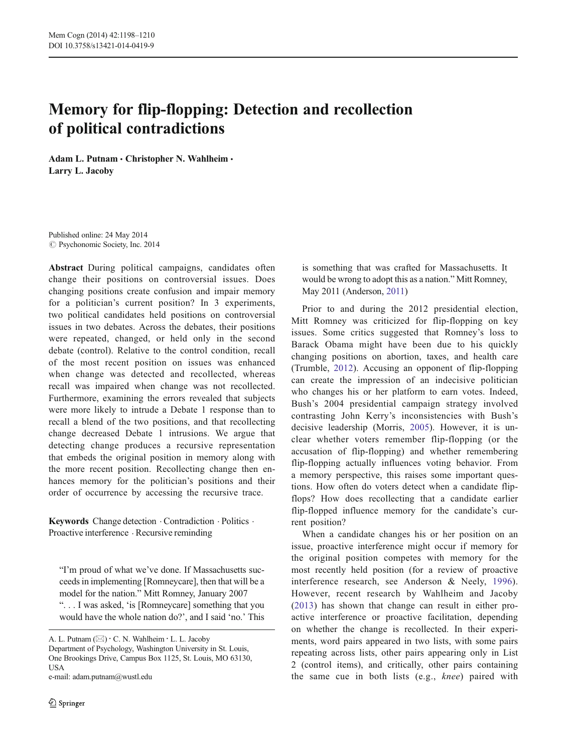# Memory for flip-flopping: Detection and recollection of political contradictions

Adam L. Putnam · Christopher N. Wahlheim · Larry L. Jacoby

Published online: 24 May 2014 © Psychonomic Society, Inc. 2014

Abstract During political campaigns, candidates often change their positions on controversial issues. Does changing positions create confusion and impair memory for a politician's current position? In 3 experiments, two political candidates held positions on controversial issues in two debates. Across the debates, their positions were repeated, changed, or held only in the second debate (control). Relative to the control condition, recall of the most recent position on issues was enhanced when change was detected and recollected, whereas recall was impaired when change was not recollected. Furthermore, examining the errors revealed that subjects were more likely to intrude a Debate 1 response than to recall a blend of the two positions, and that recollecting change decreased Debate 1 intrusions. We argue that detecting change produces a recursive representation that embeds the original position in memory along with the more recent position. Recollecting change then enhances memory for the politician's positions and their order of occurrence by accessing the recursive trace.

Keywords Change detection . Contradiction . Politics . Proactive interference . Recursive reminding

"I'm proud of what we've done. If Massachusetts succeeds in implementing [Romneycare], then that will be a model for the nation." Mitt Romney, January 2007 ". . . I was asked, 'is [Romneycare] something that you would have the whole nation do?', and I said 'no.' This

e-mail: adam.putnam@wustl.edu

is something that was crafted for Massachusetts. It would be wrong to adopt this as a nation." Mitt Romney, May 2011 (Anderson, [2011](#page-12-0))

Prior to and during the 2012 presidential election, Mitt Romney was criticized for flip-flopping on key issues. Some critics suggested that Romney's loss to Barack Obama might have been due to his quickly changing positions on abortion, taxes, and health care (Trumble, [2012](#page-12-0)). Accusing an opponent of flip-flopping can create the impression of an indecisive politician who changes his or her platform to earn votes. Indeed, Bush's 2004 presidential campaign strategy involved contrasting John Kerry's inconsistencies with Bush's decisive leadership (Morris, [2005](#page-12-0)). However, it is unclear whether voters remember flip-flopping (or the accusation of flip-flopping) and whether remembering flip-flopping actually influences voting behavior. From a memory perspective, this raises some important questions. How often do voters detect when a candidate flipflops? How does recollecting that a candidate earlier flip-flopped influence memory for the candidate's current position?

When a candidate changes his or her position on an issue, proactive interference might occur if memory for the original position competes with memory for the most recently held position (for a review of proactive interference research, see Anderson & Neely, [1996](#page-12-0)). However, recent research by Wahlheim and Jacoby [\(2013\)](#page-12-0) has shown that change can result in either proactive interference or proactive facilitation, depending on whether the change is recollected. In their experiments, word pairs appeared in two lists, with some pairs repeating across lists, other pairs appearing only in List 2 (control items), and critically, other pairs containing the same cue in both lists (e.g., knee) paired with

A. L. Putnam (⊠) · C. N. Wahlheim · L. L. Jacoby

Department of Psychology, Washington University in St. Louis, One Brookings Drive, Campus Box 1125, St. Louis, MO 63130, **USA**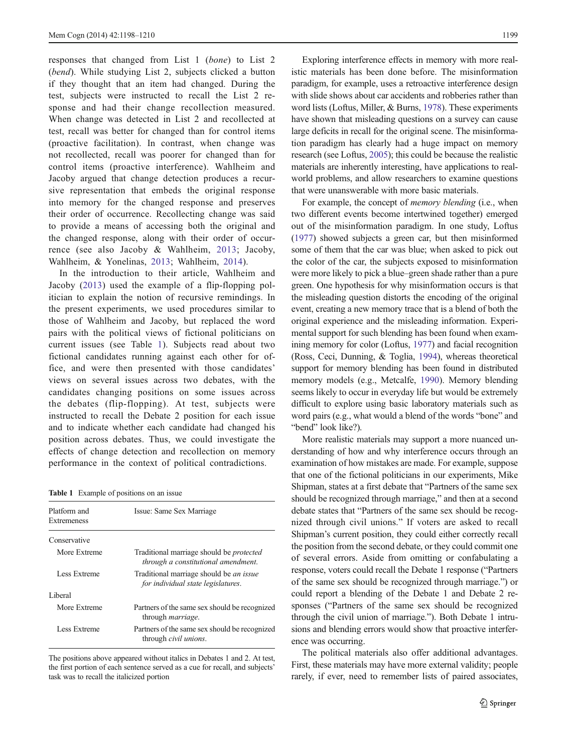<span id="page-1-0"></span>responses that changed from List 1 (bone) to List 2 (bend). While studying List 2, subjects clicked a button if they thought that an item had changed. During the test, subjects were instructed to recall the List 2 response and had their change recollection measured. When change was detected in List 2 and recollected at test, recall was better for changed than for control items (proactive facilitation). In contrast, when change was not recollected, recall was poorer for changed than for control items (proactive interference). Wahlheim and Jacoby argued that change detection produces a recursive representation that embeds the original response into memory for the changed response and preserves their order of occurrence. Recollecting change was said to provide a means of accessing both the original and the changed response, along with their order of occurrence (see also Jacoby & Wahlheim, [2013;](#page-12-0) Jacoby, Wahlheim, & Yonelinas, [2013](#page-12-0); Wahlheim, [2014](#page-12-0)).

In the introduction to their article, Wahlheim and Jacoby [\(2013](#page-12-0)) used the example of a flip-flopping politician to explain the notion of recursive remindings. In the present experiments, we used procedures similar to those of Wahlheim and Jacoby, but replaced the word pairs with the political views of fictional politicians on current issues (see Table 1). Subjects read about two fictional candidates running against each other for office, and were then presented with those candidates' views on several issues across two debates, with the candidates changing positions on some issues across the debates (flip-flopping). At test, subjects were instructed to recall the Debate 2 position for each issue and to indicate whether each candidate had changed his position across debates. Thus, we could investigate the effects of change detection and recollection on memory performance in the context of political contradictions.

Table 1 Example of positions on an issue

| Platform and<br>Extremeness | Issue: Same Sex Marriage                                                               |  |  |  |
|-----------------------------|----------------------------------------------------------------------------------------|--|--|--|
| Conservative                |                                                                                        |  |  |  |
| More Extreme                | Traditional marriage should be <i>protected</i><br>through a constitutional amendment. |  |  |  |
| Less Extreme                | Traditional marriage should be <i>an issue</i><br>for individual state legislatures.   |  |  |  |
| Liberal                     |                                                                                        |  |  |  |
| More Extreme                | Partners of the same sex should be recognized<br>through <i>marriage</i> .             |  |  |  |
| Less Extreme                | Partners of the same sex should be recognized<br>through <i>civil unions</i> .         |  |  |  |

The positions above appeared without italics in Debates 1 and 2. At test, the first portion of each sentence served as a cue for recall, and subjects' task was to recall the italicized portion

Exploring interference effects in memory with more realistic materials has been done before. The misinformation paradigm, for example, uses a retroactive interference design with slide shows about car accidents and robberies rather than word lists (Loftus, Miller, & Burns, [1978](#page-12-0)). These experiments have shown that misleading questions on a survey can cause large deficits in recall for the original scene. The misinformation paradigm has clearly had a huge impact on memory research (see Loftus, [2005\)](#page-12-0); this could be because the realistic materials are inherently interesting, have applications to realworld problems, and allow researchers to examine questions that were unanswerable with more basic materials.

For example, the concept of memory blending (i.e., when two different events become intertwined together) emerged out of the misinformation paradigm. In one study, Loftus [\(1977\)](#page-12-0) showed subjects a green car, but then misinformed some of them that the car was blue; when asked to pick out the color of the car, the subjects exposed to misinformation were more likely to pick a blue–green shade rather than a pure green. One hypothesis for why misinformation occurs is that the misleading question distorts the encoding of the original event, creating a new memory trace that is a blend of both the original experience and the misleading information. Experimental support for such blending has been found when examining memory for color (Loftus, [1977\)](#page-12-0) and facial recognition (Ross, Ceci, Dunning, & Toglia, [1994](#page-12-0)), whereas theoretical support for memory blending has been found in distributed memory models (e.g., Metcalfe, [1990\)](#page-12-0). Memory blending seems likely to occur in everyday life but would be extremely difficult to explore using basic laboratory materials such as word pairs (e.g., what would a blend of the words "bone" and "bend" look like?).

More realistic materials may support a more nuanced understanding of how and why interference occurs through an examination of how mistakes are made. For example, suppose that one of the fictional politicians in our experiments, Mike Shipman, states at a first debate that "Partners of the same sex should be recognized through marriage," and then at a second debate states that "Partners of the same sex should be recognized through civil unions." If voters are asked to recall Shipman's current position, they could either correctly recall the position from the second debate, or they could commit one of several errors. Aside from omitting or confabulating a response, voters could recall the Debate 1 response ("Partners of the same sex should be recognized through marriage.") or could report a blending of the Debate 1 and Debate 2 responses ("Partners of the same sex should be recognized through the civil union of marriage."). Both Debate 1 intrusions and blending errors would show that proactive interference was occurring.

The political materials also offer additional advantages. First, these materials may have more external validity; people rarely, if ever, need to remember lists of paired associates,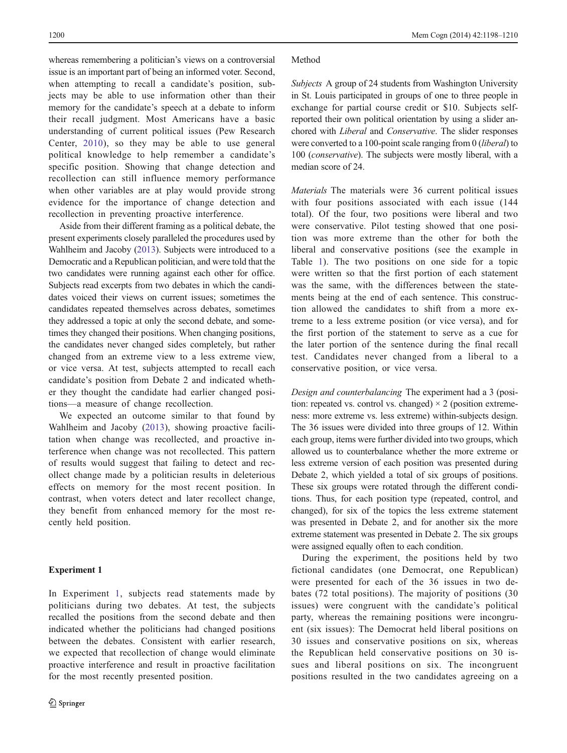<span id="page-2-0"></span>whereas remembering a politician's views on a controversial issue is an important part of being an informed voter. Second, when attempting to recall a candidate's position, subjects may be able to use information other than their memory for the candidate's speech at a debate to inform their recall judgment. Most Americans have a basic understanding of current political issues (Pew Research Center, [2010](#page-12-0)), so they may be able to use general political knowledge to help remember a candidate's specific position. Showing that change detection and recollection can still influence memory performance when other variables are at play would provide strong evidence for the importance of change detection and recollection in preventing proactive interference.

Aside from their different framing as a political debate, the present experiments closely paralleled the procedures used by Wahlheim and Jacoby [\(2013\)](#page-12-0). Subjects were introduced to a Democratic and a Republican politician, and were told that the two candidates were running against each other for office. Subjects read excerpts from two debates in which the candidates voiced their views on current issues; sometimes the candidates repeated themselves across debates, sometimes they addressed a topic at only the second debate, and sometimes they changed their positions. When changing positions, the candidates never changed sides completely, but rather changed from an extreme view to a less extreme view, or vice versa. At test, subjects attempted to recall each candidate's position from Debate 2 and indicated whether they thought the candidate had earlier changed positions—a measure of change recollection.

We expected an outcome similar to that found by Wahlheim and Jacoby ([2013](#page-12-0)), showing proactive facilitation when change was recollected, and proactive interference when change was not recollected. This pattern of results would suggest that failing to detect and recollect change made by a politician results in deleterious effects on memory for the most recent position. In contrast, when voters detect and later recollect change, they benefit from enhanced memory for the most recently held position.

# Experiment 1

In Experiment 1, subjects read statements made by politicians during two debates. At test, the subjects recalled the positions from the second debate and then indicated whether the politicians had changed positions between the debates. Consistent with earlier research, we expected that recollection of change would eliminate proactive interference and result in proactive facilitation for the most recently presented position.

## Method

Subjects A group of 24 students from Washington University in St. Louis participated in groups of one to three people in exchange for partial course credit or \$10. Subjects selfreported their own political orientation by using a slider anchored with Liberal and Conservative. The slider responses were converted to a 100-point scale ranging from 0 (*liberal*) to 100 (conservative). The subjects were mostly liberal, with a median score of 24.

Materials The materials were 36 current political issues with four positions associated with each issue (144 total). Of the four, two positions were liberal and two were conservative. Pilot testing showed that one position was more extreme than the other for both the liberal and conservative positions (see the example in Table [1\)](#page-1-0). The two positions on one side for a topic were written so that the first portion of each statement was the same, with the differences between the statements being at the end of each sentence. This construction allowed the candidates to shift from a more extreme to a less extreme position (or vice versa), and for the first portion of the statement to serve as a cue for the later portion of the sentence during the final recall test. Candidates never changed from a liberal to a conservative position, or vice versa.

Design and counterbalancing The experiment had a 3 (position: repeated vs. control vs. changed)  $\times$  2 (position extremeness: more extreme vs. less extreme) within-subjects design. The 36 issues were divided into three groups of 12. Within each group, items were further divided into two groups, which allowed us to counterbalance whether the more extreme or less extreme version of each position was presented during Debate 2, which yielded a total of six groups of positions. These six groups were rotated through the different conditions. Thus, for each position type (repeated, control, and changed), for six of the topics the less extreme statement was presented in Debate 2, and for another six the more extreme statement was presented in Debate 2. The six groups were assigned equally often to each condition.

During the experiment, the positions held by two fictional candidates (one Democrat, one Republican) were presented for each of the 36 issues in two debates (72 total positions). The majority of positions (30 issues) were congruent with the candidate's political party, whereas the remaining positions were incongruent (six issues): The Democrat held liberal positions on 30 issues and conservative positions on six, whereas the Republican held conservative positions on 30 issues and liberal positions on six. The incongruent positions resulted in the two candidates agreeing on a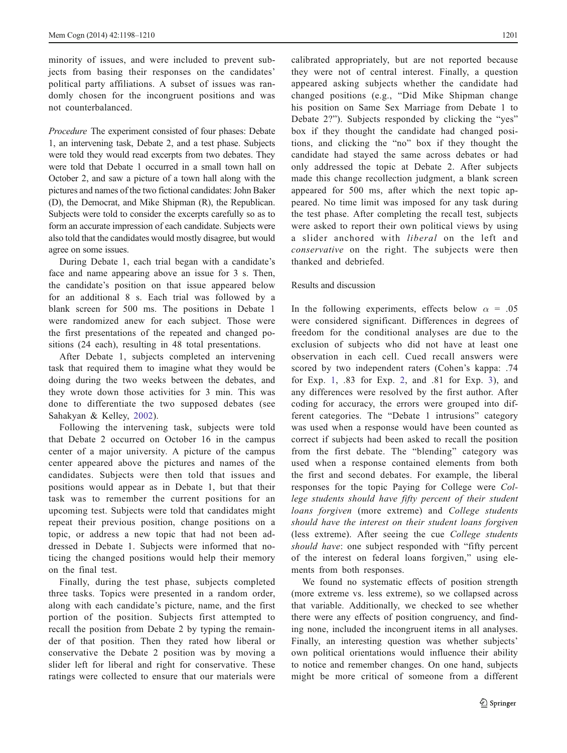minority of issues, and were included to prevent subjects from basing their responses on the candidates' political party affiliations. A subset of issues was randomly chosen for the incongruent positions and was not counterbalanced.

Procedure The experiment consisted of four phases: Debate 1, an intervening task, Debate 2, and a test phase. Subjects were told they would read excerpts from two debates. They were told that Debate 1 occurred in a small town hall on October 2, and saw a picture of a town hall along with the pictures and names of the two fictional candidates: John Baker (D), the Democrat, and Mike Shipman (R), the Republican. Subjects were told to consider the excerpts carefully so as to form an accurate impression of each candidate. Subjects were also told that the candidates would mostly disagree, but would agree on some issues.

During Debate 1, each trial began with a candidate's face and name appearing above an issue for 3 s. Then, the candidate's position on that issue appeared below for an additional 8 s. Each trial was followed by a blank screen for 500 ms. The positions in Debate 1 were randomized anew for each subject. Those were the first presentations of the repeated and changed positions (24 each), resulting in 48 total presentations.

After Debate 1, subjects completed an intervening task that required them to imagine what they would be doing during the two weeks between the debates, and they wrote down those activities for 3 min. This was done to differentiate the two supposed debates (see Sahakyan & Kelley, [2002\)](#page-12-0).

Following the intervening task, subjects were told that Debate 2 occurred on October 16 in the campus center of a major university. A picture of the campus center appeared above the pictures and names of the candidates. Subjects were then told that issues and positions would appear as in Debate 1, but that their task was to remember the current positions for an upcoming test. Subjects were told that candidates might repeat their previous position, change positions on a topic, or address a new topic that had not been addressed in Debate 1. Subjects were informed that noticing the changed positions would help their memory on the final test.

Finally, during the test phase, subjects completed three tasks. Topics were presented in a random order, along with each candidate's picture, name, and the first portion of the position. Subjects first attempted to recall the position from Debate 2 by typing the remainder of that position. Then they rated how liberal or conservative the Debate 2 position was by moving a slider left for liberal and right for conservative. These ratings were collected to ensure that our materials were calibrated appropriately, but are not reported because they were not of central interest. Finally, a question appeared asking subjects whether the candidate had changed positions (e.g., "Did Mike Shipman change his position on Same Sex Marriage from Debate 1 to Debate 2?"). Subjects responded by clicking the "yes" box if they thought the candidate had changed positions, and clicking the "no" box if they thought the candidate had stayed the same across debates or had only addressed the topic at Debate 2. After subjects made this change recollection judgment, a blank screen appeared for 500 ms, after which the next topic appeared. No time limit was imposed for any task during the test phase. After completing the recall test, subjects were asked to report their own political views by using a slider anchored with liberal on the left and conservative on the right. The subjects were then thanked and debriefed.

## Results and discussion

In the following experiments, effects below  $\alpha = .05$ were considered significant. Differences in degrees of freedom for the conditional analyses are due to the exclusion of subjects who did not have at least one observation in each cell. Cued recall answers were scored by two independent raters (Cohen's kappa: .74 for Exp. [1,](#page-2-0) .83 for Exp. [2,](#page-5-0) and .81 for Exp. [3](#page-7-0)), and any differences were resolved by the first author. After coding for accuracy, the errors were grouped into different categories. The "Debate 1 intrusions" category was used when a response would have been counted as correct if subjects had been asked to recall the position from the first debate. The "blending" category was used when a response contained elements from both the first and second debates. For example, the liberal responses for the topic Paying for College were College students should have fifty percent of their student loans forgiven (more extreme) and College students should have the interest on their student loans forgiven (less extreme). After seeing the cue College students should have: one subject responded with "fifty percent" of the interest on federal loans forgiven," using elements from both responses.

We found no systematic effects of position strength (more extreme vs. less extreme), so we collapsed across that variable. Additionally, we checked to see whether there were any effects of position congruency, and finding none, included the incongruent items in all analyses. Finally, an interesting question was whether subjects' own political orientations would influence their ability to notice and remember changes. On one hand, subjects might be more critical of someone from a different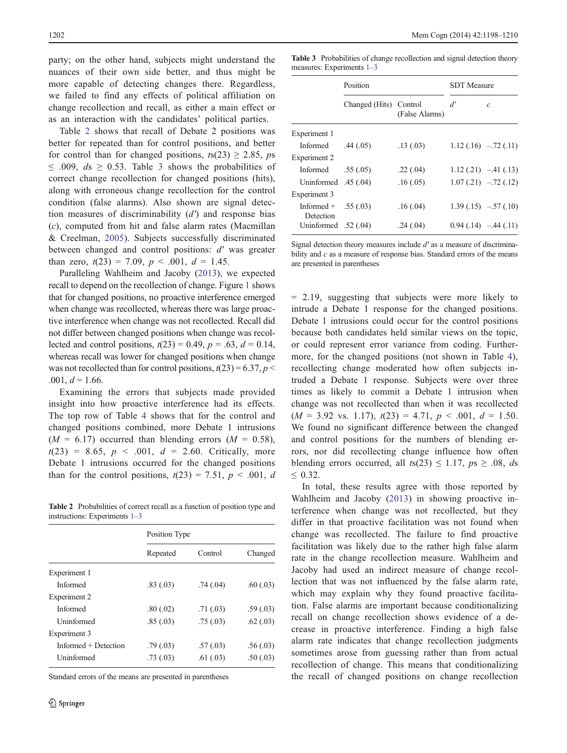<span id="page-4-0"></span>party; on the other hand, subjects might understand the nuances of their own side better, and thus might be more capable of detecting changes there. Regardless, we failed to find any effects of political affiliation on change recollection and recall, as either a main effect or as an interaction with the candidates' political parties.

Table 2 shows that recall of Debate 2 positions was better for repeated than for control positions, and better for control than for changed positions,  $ts(23) \ge 2.85$ , ps ≤ .009,  $ds$  ≥ 0.53. Table 3 shows the probabilities of correct change recollection for changed positions (hits), along with erroneous change recollection for the control condition (false alarms). Also shown are signal detection measures of discriminability  $(d')$  and response bias (c), computed from hit and false alarm rates (Macmillan & Creelman, [2005](#page-12-0)). Subjects successfully discriminated between changed and control positions: d′ was greater than zero,  $t(23) = 7.09$ ,  $p < .001$ ,  $d = 1.45$ .

Paralleling Wahlheim and Jacoby ([2013](#page-12-0)), we expected recall to depend on the recollection of change. Figure [1](#page-5-0) shows that for changed positions, no proactive interference emerged when change was recollected, whereas there was large proactive interference when change was not recollected. Recall did not differ between changed positions when change was recollected and control positions,  $t(23) = 0.49$ ,  $p = .63$ ,  $d = 0.14$ , whereas recall was lower for changed positions when change was not recollected than for control positions,  $t(23) = 6.37, p <$  $.001, d = 1.66.$ 

Examining the errors that subjects made provided insight into how proactive interference had its effects. The top row of Table [4](#page-5-0) shows that for the control and changed positions combined, more Debate 1 intrusions  $(M = 6.17)$  occurred than blending errors  $(M = 0.58)$ ,  $t(23) = 8.65, p < .001, d = 2.60$ . Critically, more Debate 1 intrusions occurred for the changed positions than for the control positions,  $t(23) = 7.51$ ,  $p < .001$ , d

Table 2 Probabilities of correct recall as a function of position type and instructions: Experiments [1](#page-2-0)–[3](#page-7-0)

|                      |           | Position Type |           |  |  |
|----------------------|-----------|---------------|-----------|--|--|
|                      | Repeated  | Control       | Changed   |  |  |
| Experiment 1         |           |               |           |  |  |
| Informed             | .83(0.03) | .74(0.04)     | .60(0.03) |  |  |
| Experiment 2         |           |               |           |  |  |
| Informed             | .80(.02)  | .71(0.03)     | .59(.03)  |  |  |
| Uninformed           | .85(.03)  | .75(.03)      | .62(0.03) |  |  |
| Experiment 3         |           |               |           |  |  |
| Informed + Detection | .79(0.03) | .57(0.03)     | .56(.03)  |  |  |
| Uninformed           | .73(0.03) | .61(0.03)     | .50(.03)  |  |  |

Standard errors of the means are presented in parentheses

Table 3 Probabilities of change recollection and signal detection theory measures: Experiments [1](#page-2-0)–[3](#page-7-0)

|                                     | Position               |                | <b>SDT</b> Measure |                         |  |
|-------------------------------------|------------------------|----------------|--------------------|-------------------------|--|
|                                     | Changed (Hits) Control | (False Alarms) | d'                 | $\mathcal{C}$           |  |
| Experiment 1                        |                        |                |                    |                         |  |
| Informed                            | .44(.05)               | .13(0.03)      |                    | $1.12(.16) -72(.11)$    |  |
| Experiment 2                        |                        |                |                    |                         |  |
| Informed                            | .55(.05)               | .22(.04)       |                    | $1.12(.21)$ $-.41(.13)$ |  |
| Uninformed $.45$ (.04)              |                        | .16(0.05)      |                    | $1.07(.21)$ -.72 (.12)  |  |
| Experiment 3                        |                        |                |                    |                         |  |
| Informed + .55 $(.03)$<br>Detection |                        | .16(0.04)      |                    | $1.39(.15) -57(.10)$    |  |
| Uninformed $.52$ (.04)              |                        | .24(.04)       |                    | $0.94(.14) -44(.11)$    |  |

Signal detection theory measures include  $d'$  as a measure of discriminability and  $c$  as a measure of response bias. Standard errors of the means are presented in parentheses

= 2.19, suggesting that subjects were more likely to intrude a Debate 1 response for the changed positions. Debate 1 intrusions could occur for the control positions because both candidates held similar views on the topic, or could represent error variance from coding. Furthermore, for the changed positions (not shown in Table [4](#page-5-0)), recollecting change moderated how often subjects intruded a Debate 1 response. Subjects were over three times as likely to commit a Debate 1 intrusion when change was not recollected than when it was recollected  $(M = 3.92 \text{ vs. } 1.17), t(23) = 4.71, p < .001, d = 1.50.$ We found no significant difference between the changed and control positions for the numbers of blending errors, nor did recollecting change influence how often blending errors occurred, all  $ts(23) \le 1.17$ ,  $ps \ge .08$ , ds ≤ 0.32.

In total, these results agree with those reported by Wahlheim and Jacoby ([2013](#page-12-0)) in showing proactive interference when change was not recollected, but they differ in that proactive facilitation was not found when change was recollected. The failure to find proactive facilitation was likely due to the rather high false alarm rate in the change recollection measure. Wahlheim and Jacoby had used an indirect measure of change recollection that was not influenced by the false alarm rate, which may explain why they found proactive facilitation. False alarms are important because conditionalizing recall on change recollection shows evidence of a decrease in proactive interference. Finding a high false alarm rate indicates that change recollection judgments sometimes arose from guessing rather than from actual recollection of change. This means that conditionalizing the recall of changed positions on change recollection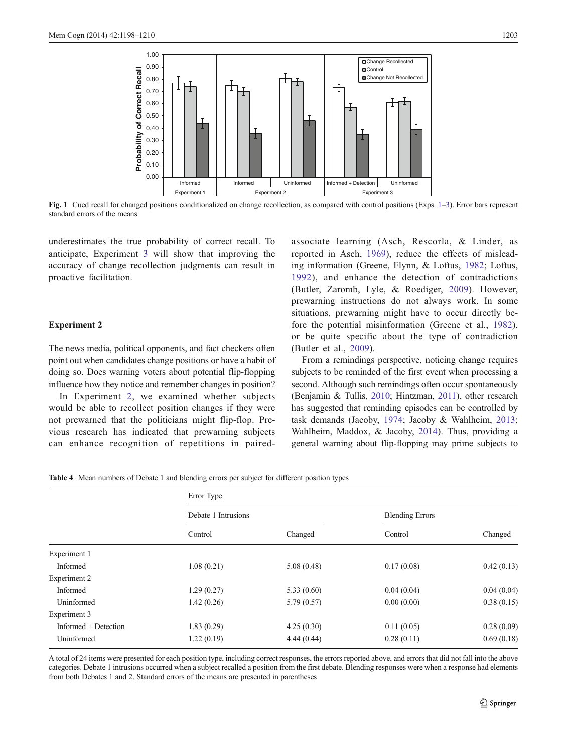<span id="page-5-0"></span>

Fig. [1](#page-2-0) Cued recall for changed positions conditionalized on change recollection, as compared with control positions (Exps. 1–[3](#page-7-0)). Error bars represent standard errors of the means

underestimates the true probability of correct recall. To anticipate, Experiment [3](#page-7-0) will show that improving the accuracy of change recollection judgments can result in proactive facilitation.

#### Experiment 2

The news media, political opponents, and fact checkers often point out when candidates change positions or have a habit of doing so. Does warning voters about potential flip-flopping influence how they notice and remember changes in position?

In Experiment 2, we examined whether subjects would be able to recollect position changes if they were not prewarned that the politicians might flip-flop. Previous research has indicated that prewarning subjects can enhance recognition of repetitions in pairedassociate learning (Asch, Rescorla, & Linder, as reported in Asch, [1969\)](#page-12-0), reduce the effects of misleading information (Greene, Flynn, & Loftus, [1982;](#page-12-0) Loftus, [1992\)](#page-12-0), and enhance the detection of contradictions (Butler, Zaromb, Lyle, & Roediger, [2009](#page-12-0)). However, prewarning instructions do not always work. In some situations, prewarning might have to occur directly before the potential misinformation (Greene et al., [1982](#page-12-0)), or be quite specific about the type of contradiction (Butler et al., [2009](#page-12-0)).

From a remindings perspective, noticing change requires subjects to be reminded of the first event when processing a second. Although such remindings often occur spontaneously (Benjamin & Tullis, [2010;](#page-12-0) Hintzman, [2011\)](#page-12-0), other research has suggested that reminding episodes can be controlled by task demands (Jacoby, [1974](#page-12-0); Jacoby & Wahlheim, [2013;](#page-12-0) Wahlheim, Maddox, & Jacoby, [2014\)](#page-12-0). Thus, providing a general warning about flip-flopping may prime subjects to

Table 4 Mean numbers of Debate 1 and blending errors per subject for different position types

|                      | Error Type          |            |                        |            |  |  |  |
|----------------------|---------------------|------------|------------------------|------------|--|--|--|
|                      | Debate 1 Intrusions |            | <b>Blending Errors</b> |            |  |  |  |
|                      | Control             | Changed    | Control                | Changed    |  |  |  |
| Experiment 1         |                     |            |                        |            |  |  |  |
| Informed             | 1.08(0.21)          | 5.08(0.48) | 0.17(0.08)             | 0.42(0.13) |  |  |  |
| Experiment 2         |                     |            |                        |            |  |  |  |
| Informed             | 1.29(0.27)          | 5.33(0.60) | 0.04(0.04)             | 0.04(0.04) |  |  |  |
| Uninformed           | 1.42(0.26)          | 5.79(0.57) | 0.00(0.00)             | 0.38(0.15) |  |  |  |
| Experiment 3         |                     |            |                        |            |  |  |  |
| Informed + Detection | 1.83(0.29)          | 4.25(0.30) | 0.11(0.05)             | 0.28(0.09) |  |  |  |
| Uninformed           | 1.22(0.19)          | 4.44(0.44) | 0.28(0.11)             | 0.69(0.18) |  |  |  |

A total of 24 items were presented for each position type, including correct responses, the errors reported above, and errors that did not fall into the above categories. Debate 1 intrusions occurred when a subject recalled a position from the first debate. Blending responses were when a response had elements from both Debates 1 and 2. Standard errors of the means are presented in parentheses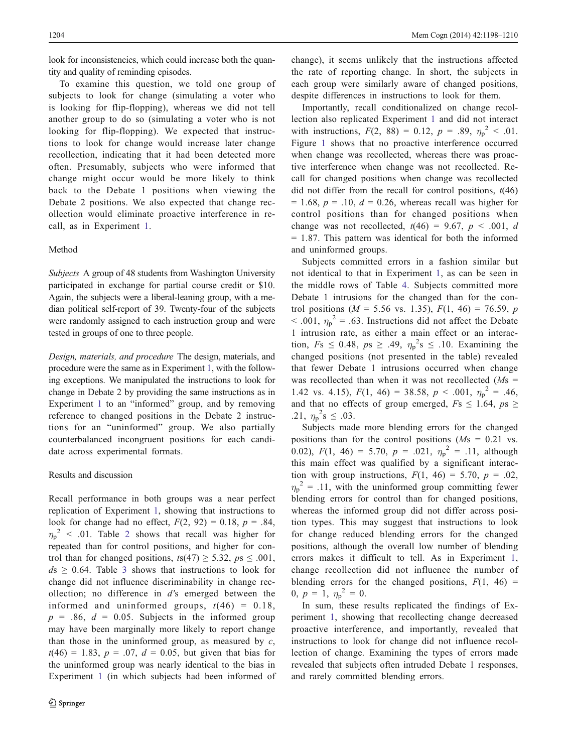look for inconsistencies, which could increase both the quantity and quality of reminding episodes.

To examine this question, we told one group of subjects to look for change (simulating a voter who is looking for flip-flopping), whereas we did not tell another group to do so (simulating a voter who is not looking for flip-flopping). We expected that instructions to look for change would increase later change recollection, indicating that it had been detected more often. Presumably, subjects who were informed that change might occur would be more likely to think back to the Debate 1 positions when viewing the Debate 2 positions. We also expected that change recollection would eliminate proactive interference in recall, as in Experiment [1.](#page-2-0)

# Method

Subjects A group of 48 students from Washington University participated in exchange for partial course credit or \$10. Again, the subjects were a liberal-leaning group, with a median political self-report of 39. Twenty-four of the subjects were randomly assigned to each instruction group and were tested in groups of one to three people.

Design, materials, and procedure The design, materials, and procedure were the same as in Experiment [1](#page-2-0), with the following exceptions. We manipulated the instructions to look for change in Debate 2 by providing the same instructions as in Experiment [1](#page-2-0) to an "informed" group, and by removing reference to changed positions in the Debate 2 instructions for an "uninformed" group. We also partially counterbalanced incongruent positions for each candidate across experimental formats.

#### Results and discussion

Recall performance in both groups was a near perfect replication of Experiment [1](#page-2-0), showing that instructions to look for change had no effect,  $F(2, 92) = 0.18$ ,  $p = .84$ ,  $\eta_{\rm p}^2$  $\eta_{\rm p}^2$  < .01. Table 2 shows that recall was higher for repeated than for control positions, and higher for control than for changed positions,  $ts(47) \geq 5.32$ ,  $ps \leq .001$ ,  $ds \geq 0.64$ . Table [3](#page-4-0) shows that instructions to look for change did not influence discriminability in change recollection; no difference in d′s emerged between the informed and uninformed groups,  $t(46) = 0.18$ ,  $p = .86$ ,  $d = 0.05$ . Subjects in the informed group may have been marginally more likely to report change than those in the uninformed group, as measured by  $c$ ,  $t(46) = 1.83, p = .07, d = 0.05$ , but given that bias for the uninformed group was nearly identical to the bias in Experiment [1](#page-2-0) (in which subjects had been informed of change), it seems unlikely that the instructions affected the rate of reporting change. In short, the subjects in each group were similarly aware of changed positions, despite differences in instructions to look for them.

Importantly, recall conditionalized on change recollection also replicated Experiment [1](#page-2-0) and did not interact with instructions,  $F(2, 88) = 0.12$ ,  $p = .89$ ,  $\eta_p^2 < .01$ . Figure [1](#page-5-0) shows that no proactive interference occurred when change was recollected, whereas there was proactive interference when change was not recollected. Recall for changed positions when change was recollected did not differ from the recall for control positions,  $t(46)$  $= 1.68$ ,  $p = .10$ ,  $d = 0.26$ , whereas recall was higher for control positions than for changed positions when change was not recollected,  $t(46) = 9.67$ ,  $p < .001$ , d = 1.87. This pattern was identical for both the informed and uninformed groups.

Subjects committed errors in a fashion similar but not identical to that in Experiment [1](#page-2-0), as can be seen in the middle rows of Table [4.](#page-5-0) Subjects committed more Debate 1 intrusions for the changed than for the control positions ( $M = 5.56$  vs. 1.35),  $F(1, 46) = 76.59$ , p  $< .001$ ,  $\eta_p^2 = .63$ . Instructions did not affect the Debate 1 intrusion rate, as either a main effect or an interaction,  $Fs \le 0.48$ ,  $ps \ge .49$ ,  $\eta_p^2 s \le .10$ . Examining the changed positions (not presented in the table) revealed that fewer Debate 1 intrusions occurred when change was recollected than when it was not recollected  $(Ms =$ 1.42 vs. 4.15),  $F(1, 46) = 38.58$ ,  $p < .001$ ,  $\eta_p^2 = .46$ , and that no effects of group emerged,  $Fs \le 1.64$ ,  $ps \ge$ .21,  $\eta_p^2 s \leq .03$ .

Subjects made more blending errors for the changed positions than for the control positions  $(Ms = 0.21$  vs. 0.02),  $F(1, 46) = 5.70$ ,  $p = .021$ ,  $\eta_p^2 = .11$ , although this main effect was qualified by a significant interaction with group instructions,  $F(1, 46) = 5.70$ ,  $p = .02$ ,  $\eta_p^2$  = .11, with the uninformed group committing fewer blending errors for control than for changed positions, whereas the informed group did not differ across position types. This may suggest that instructions to look for change reduced blending errors for the changed positions, although the overall low number of blending errors makes it difficult to tell. As in Experiment [1,](#page-2-0) change recollection did not influence the number of blending errors for the changed positions,  $F(1, 46) =$ 0,  $p = 1$ ,  $\eta_p^2 = 0$ .

In sum, these results replicated the findings of Experiment [1,](#page-2-0) showing that recollecting change decreased proactive interference, and importantly, revealed that instructions to look for change did not influence recollection of change. Examining the types of errors made revealed that subjects often intruded Debate 1 responses, and rarely committed blending errors.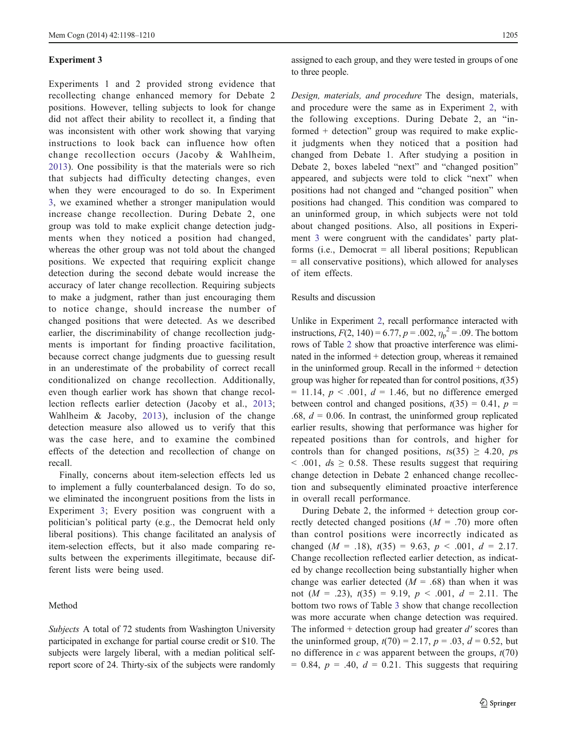#### <span id="page-7-0"></span>Experiment 3

Experiments 1 and 2 provided strong evidence that recollecting change enhanced memory for Debate 2 positions. However, telling subjects to look for change did not affect their ability to recollect it, a finding that was inconsistent with other work showing that varying instructions to look back can influence how often change recollection occurs (Jacoby & Wahlheim, [2013](#page-12-0)). One possibility is that the materials were so rich that subjects had difficulty detecting changes, even when they were encouraged to do so. In Experiment 3, we examined whether a stronger manipulation would increase change recollection. During Debate 2, one group was told to make explicit change detection judgments when they noticed a position had changed, whereas the other group was not told about the changed positions. We expected that requiring explicit change detection during the second debate would increase the accuracy of later change recollection. Requiring subjects to make a judgment, rather than just encouraging them to notice change, should increase the number of changed positions that were detected. As we described earlier, the discriminability of change recollection judgments is important for finding proactive facilitation, because correct change judgments due to guessing result in an underestimate of the probability of correct recall conditionalized on change recollection. Additionally, even though earlier work has shown that change recollection reflects earlier detection (Jacoby et al., [2013](#page-12-0); Wahlheim & Jacoby, [2013\)](#page-12-0), inclusion of the change detection measure also allowed us to verify that this was the case here, and to examine the combined effects of the detection and recollection of change on recall.

Finally, concerns about item-selection effects led us to implement a fully counterbalanced design. To do so, we eliminated the incongruent positions from the lists in Experiment 3; Every position was congruent with a politician's political party (e.g., the Democrat held only liberal positions). This change facilitated an analysis of item-selection effects, but it also made comparing results between the experiments illegitimate, because different lists were being used.

# Method

Subjects A total of 72 students from Washington University participated in exchange for partial course credit or \$10. The subjects were largely liberal, with a median political selfreport score of 24. Thirty-six of the subjects were randomly

assigned to each group, and they were tested in groups of one to three people.

Design, materials, and procedure The design, materials, and procedure were the same as in Experiment [2](#page-5-0), with the following exceptions. During Debate 2, an "informed  $+$  detection" group was required to make explicit judgments when they noticed that a position had changed from Debate 1. After studying a position in Debate 2, boxes labeled "next" and "changed position" appeared, and subjects were told to click "next" when positions had not changed and "changed position" when positions had changed. This condition was compared to an uninformed group, in which subjects were not told about changed positions. Also, all positions in Experiment 3 were congruent with the candidates' party platforms (i.e., Democrat  $=$  all liberal positions; Republican = all conservative positions), which allowed for analyses of item effects.

# Results and discussion

Unlike in Experiment [2](#page-5-0), recall performance interacted with instructions,  $F(2, 140) = 6.77$ ,  $p = .002$ ,  $\eta_p^2 = .09$ . The bottom rows of Table [2](#page-4-0) show that proactive interference was eliminated in the informed + detection group, whereas it remained in the uninformed group. Recall in the informed + detection group was higher for repeated than for control positions,  $t(35)$  $= 11.14$ ,  $p < .001$ ,  $d = 1.46$ , but no difference emerged between control and changed positions,  $t(35) = 0.41$ ,  $p =$ .68,  $d = 0.06$ . In contrast, the uninformed group replicated earlier results, showing that performance was higher for repeated positions than for controls, and higher for controls than for changed positions,  $ts(35) \geq 4.20$ , ps  $\leq$  0.01,  $ds \geq 0.58$ . These results suggest that requiring change detection in Debate 2 enhanced change recollection and subsequently eliminated proactive interference in overall recall performance.

During Debate 2, the informed  $+$  detection group correctly detected changed positions  $(M = .70)$  more often than control positions were incorrectly indicated as changed  $(M = .18)$ ,  $t(35) = 9.63$ ,  $p < .001$ ,  $d = 2.17$ . Change recollection reflected earlier detection, as indicated by change recollection being substantially higher when change was earlier detected  $(M = .68)$  than when it was not  $(M = .23)$ ,  $t(35) = 9.19$ ,  $p < .001$ ,  $d = 2.11$ . The bottom two rows of Table [3](#page-4-0) show that change recollection was more accurate when change detection was required. The informed + detection group had greater  $d'$  scores than the uninformed group,  $t(70) = 2.17$ ,  $p = .03$ ,  $d = 0.52$ , but no difference in  $c$  was apparent between the groups,  $t(70)$  $= 0.84$ ,  $p = .40$ ,  $d = 0.21$ . This suggests that requiring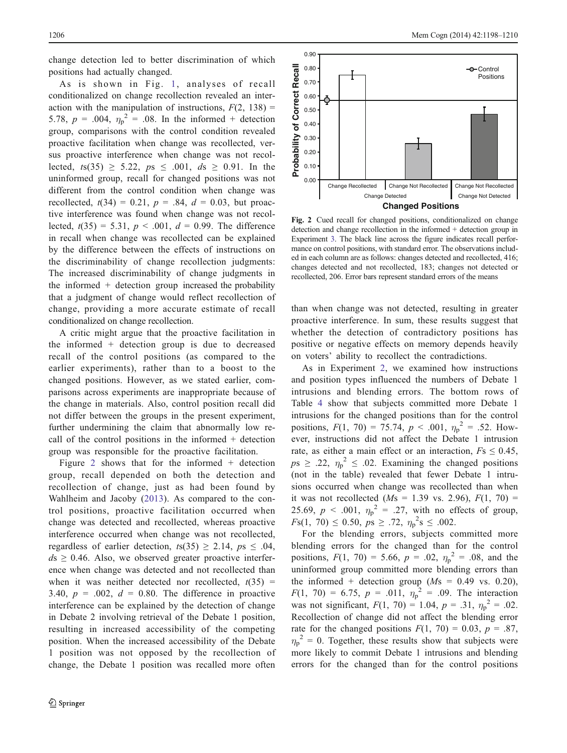change detection led to better discrimination of which positions had actually changed.

As is shown in Fig. [1,](#page-5-0) analyses of recall conditionalized on change recollection revealed an interaction with the manipulation of instructions,  $F(2, 138) =$ 5.78,  $p = .004$ ,  $\eta_p^2 = .08$ . In the informed + detection group, comparisons with the control condition revealed proactive facilitation when change was recollected, versus proactive interference when change was not recollected,  $ts(35) \geq 5.22$ ,  $ps \leq .001$ ,  $ds \geq 0.91$ . In the uninformed group, recall for changed positions was not different from the control condition when change was recollected,  $t(34) = 0.21$ ,  $p = .84$ ,  $d = 0.03$ , but proactive interference was found when change was not recollected,  $t(35) = 5.31$ ,  $p < .001$ ,  $d = 0.99$ . The difference in recall when change was recollected can be explained by the difference between the effects of instructions on the discriminability of change recollection judgments: The increased discriminability of change judgments in the informed  $+$  detection group increased the probability that a judgment of change would reflect recollection of change, providing a more accurate estimate of recall conditionalized on change recollection.

A critic might argue that the proactive facilitation in the informed + detection group is due to decreased recall of the control positions (as compared to the earlier experiments), rather than to a boost to the changed positions. However, as we stated earlier, comparisons across experiments are inappropriate because of the change in materials. Also, control position recall did not differ between the groups in the present experiment, further undermining the claim that abnormally low recall of the control positions in the informed + detection group was responsible for the proactive facilitation.

Figure 2 shows that for the informed + detection group, recall depended on both the detection and recollection of change, just as had been found by Wahlheim and Jacoby ([2013](#page-12-0)). As compared to the control positions, proactive facilitation occurred when change was detected and recollected, whereas proactive interference occurred when change was not recollected, regardless of earlier detection,  $ts(35) \ge 2.14$ ,  $ps \le .04$ ,  $ds \geq 0.46$ . Also, we observed greater proactive interference when change was detected and not recollected than when it was neither detected nor recollected,  $t(35)$  = 3.40,  $p = .002$ ,  $d = 0.80$ . The difference in proactive interference can be explained by the detection of change in Debate 2 involving retrieval of the Debate 1 position, resulting in increased accessibility of the competing position. When the increased accessibility of the Debate 1 position was not opposed by the recollection of change, the Debate 1 position was recalled more often



Fig. 2 Cued recall for changed positions, conditionalized on change detection and change recollection in the informed + detection group in Experiment [3.](#page-7-0) The black line across the figure indicates recall performance on control positions, with standard error. The observations included in each column are as follows: changes detected and recollected, 416; changes detected and not recollected, 183; changes not detected or recollected, 206. Error bars represent standard errors of the means

than when change was not detected, resulting in greater proactive interference. In sum, these results suggest that whether the detection of contradictory positions has positive or negative effects on memory depends heavily on voters' ability to recollect the contradictions.

As in Experiment [2,](#page-5-0) we examined how instructions and position types influenced the numbers of Debate 1 intrusions and blending errors. The bottom rows of Table [4](#page-5-0) show that subjects committed more Debate 1 intrusions for the changed positions than for the control positions,  $F(1, 70) = 75.74$ ,  $p < .001$ ,  $\eta_p^2 = .52$ . However, instructions did not affect the Debate 1 intrusion rate, as either a main effect or an interaction,  $Fs \leq 0.45$ ,  $ps \geq .22$ ,  $\eta_p^2 \leq .02$ . Examining the changed positions (not in the table) revealed that fewer Debate 1 intrusions occurred when change was recollected than when it was not recollected ( $Ms = 1.39$  vs. 2.96),  $F(1, 70) =$ 25.69,  $p < .001$ ,  $\eta_p^2 = .27$ , with no effects of group,  $Fs(1, 70) \le 0.50, ps \ge .72, \eta_p^2 s \le .002.$ 

For the blending errors, subjects committed more blending errors for the changed than for the control positions,  $F(1, 70) = 5.66$ ,  $p = .02$ ,  $\eta_p^2 = .08$ , and the uninformed group committed more blending errors than the informed + detection group  $(Ms = 0.49 \text{ vs. } 0.20)$ ,  $F(1, 70) = 6.75$ ,  $p = .011$ ,  $\eta_p^2 = .09$ . The interaction was not significant,  $F(1, 70) = 1.04$ ,  $p = .31$ ,  $\eta_p^2 = .02$ . Recollection of change did not affect the blending error rate for the changed positions  $F(1, 70) = 0.03$ ,  $p = .87$ ,  $\eta_p^2 = 0$ . Together, these results show that subjects were more likely to commit Debate 1 intrusions and blending errors for the changed than for the control positions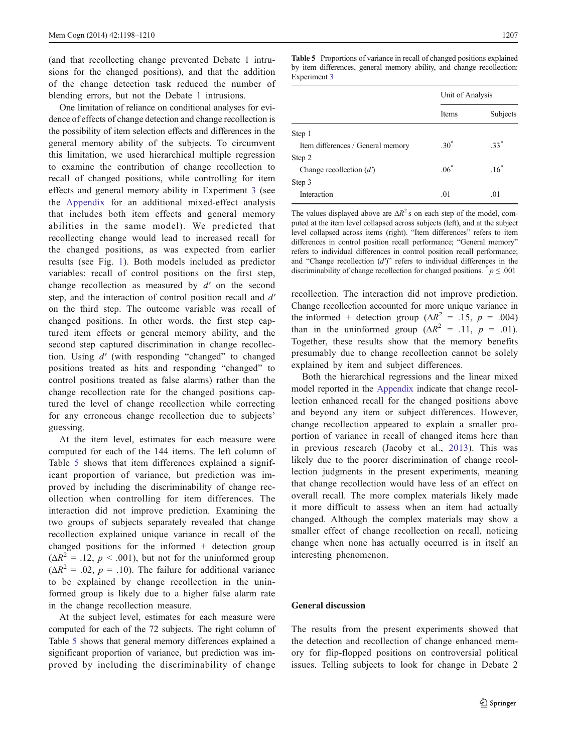(and that recollecting change prevented Debate 1 intrusions for the changed positions), and that the addition of the change detection task reduced the number of blending errors, but not the Debate 1 intrusions.

One limitation of reliance on conditional analyses for evidence of effects of change detection and change recollection is the possibility of item selection effects and differences in the general memory ability of the subjects. To circumvent this limitation, we used hierarchical multiple regression to examine the contribution of change recollection to recall of changed positions, while controlling for item effects and general memory ability in Experiment [3](#page-7-0) (see the [Appendix](#page-11-0) for an additional mixed-effect analysis that includes both item effects and general memory abilities in the same model). We predicted that recollecting change would lead to increased recall for the changed positions, as was expected from earlier results (see Fig. [1\)](#page-5-0). Both models included as predictor variables: recall of control positions on the first step, change recollection as measured by d′ on the second step, and the interaction of control position recall and d' on the third step. The outcome variable was recall of changed positions. In other words, the first step captured item effects or general memory ability, and the second step captured discrimination in change recollection. Using d′ (with responding "changed" to changed positions treated as hits and responding "changed" to control positions treated as false alarms) rather than the change recollection rate for the changed positions captured the level of change recollection while correcting for any erroneous change recollection due to subjects' guessing.

At the item level, estimates for each measure were computed for each of the 144 items. The left column of Table 5 shows that item differences explained a significant proportion of variance, but prediction was improved by including the discriminability of change recollection when controlling for item differences. The interaction did not improve prediction. Examining the two groups of subjects separately revealed that change recollection explained unique variance in recall of the changed positions for the informed + detection group  $(\Delta R^2 = .12, p < .001)$ , but not for the uninformed group  $(\Delta R^2 = .02, p = .10)$ . The failure for additional variance to be explained by change recollection in the uninformed group is likely due to a higher false alarm rate in the change recollection measure.

At the subject level, estimates for each measure were computed for each of the 72 subjects. The right column of Table 5 shows that general memory differences explained a significant proportion of variance, but prediction was improved by including the discriminability of change

Table 5 Proportions of variance in recall of changed positions explained by item differences, general memory ability, and change recollection: Experiment [3](#page-7-0)

|                                   | Unit of Analysis |          |  |
|-----------------------------------|------------------|----------|--|
|                                   | <b>Items</b>     | Subjects |  |
| Step 1                            |                  |          |  |
| Item differences / General memory | $.30*$           | $.33*$   |  |
| Step 2                            |                  |          |  |
| Change recollection $(d')$        | $.06*$           | $.16*$   |  |
| Step 3                            |                  |          |  |
| Interaction                       | .01              | .01      |  |

The values displayed above are  $\Delta R^2$  s on each step of the model, computed at the item level collapsed across subjects (left), and at the subject level collapsed across items (right). "Item differences" refers to item differences in control position recall performance; "General memory" refers to individual differences in control position recall performance; and "Change recollection  $(d')$ " refers to individual differences in the discriminability of change recollection for changed positions.  $p \leq .001$ 

recollection. The interaction did not improve prediction. Change recollection accounted for more unique variance in the informed + detection group ( $\Delta R^2$  = .15, p = .004) than in the uninformed group ( $\Delta R^2$  = .11,  $p$  = .01). Together, these results show that the memory benefits presumably due to change recollection cannot be solely explained by item and subject differences.

Both the hierarchical regressions and the linear mixed model reported in the [Appendix](#page-11-0) indicate that change recollection enhanced recall for the changed positions above and beyond any item or subject differences. However, change recollection appeared to explain a smaller proportion of variance in recall of changed items here than in previous research (Jacoby et al., [2013](#page-12-0)). This was likely due to the poorer discrimination of change recollection judgments in the present experiments, meaning that change recollection would have less of an effect on overall recall. The more complex materials likely made it more difficult to assess when an item had actually changed. Although the complex materials may show a smaller effect of change recollection on recall, noticing change when none has actually occurred is in itself an interesting phenomenon.

# General discussion

The results from the present experiments showed that the detection and recollection of change enhanced memory for flip-flopped positions on controversial political issues. Telling subjects to look for change in Debate 2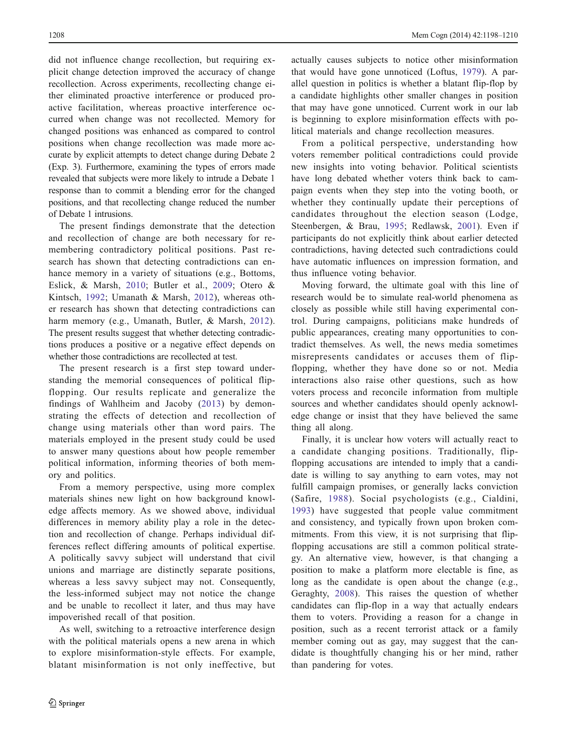did not influence change recollection, but requiring explicit change detection improved the accuracy of change recollection. Across experiments, recollecting change either eliminated proactive interference or produced proactive facilitation, whereas proactive interference occurred when change was not recollected. Memory for changed positions was enhanced as compared to control positions when change recollection was made more accurate by explicit attempts to detect change during Debate 2 (Exp. 3). Furthermore, examining the types of errors made revealed that subjects were more likely to intrude a Debate 1 response than to commit a blending error for the changed positions, and that recollecting change reduced the number of Debate 1 intrusions.

The present findings demonstrate that the detection and recollection of change are both necessary for remembering contradictory political positions. Past research has shown that detecting contradictions can enhance memory in a variety of situations (e.g., Bottoms, Eslick, & Marsh, [2010](#page-12-0); Butler et al., [2009](#page-12-0); Otero & Kintsch, [1992;](#page-12-0) Umanath & Marsh, [2012\)](#page-12-0), whereas other research has shown that detecting contradictions can harm memory (e.g., Umanath, Butler, & Marsh, [2012](#page-12-0)). The present results suggest that whether detecting contradictions produces a positive or a negative effect depends on whether those contradictions are recollected at test.

The present research is a first step toward understanding the memorial consequences of political flipflopping. Our results replicate and generalize the findings of Wahlheim and Jacoby ([2013](#page-12-0)) by demonstrating the effects of detection and recollection of change using materials other than word pairs. The materials employed in the present study could be used to answer many questions about how people remember political information, informing theories of both memory and politics.

From a memory perspective, using more complex materials shines new light on how background knowledge affects memory. As we showed above, individual differences in memory ability play a role in the detection and recollection of change. Perhaps individual differences reflect differing amounts of political expertise. A politically savvy subject will understand that civil unions and marriage are distinctly separate positions, whereas a less savvy subject may not. Consequently, the less-informed subject may not notice the change and be unable to recollect it later, and thus may have impoverished recall of that position.

As well, switching to a retroactive interference design with the political materials opens a new arena in which to explore misinformation-style effects. For example, blatant misinformation is not only ineffective, but

actually causes subjects to notice other misinformation that would have gone unnoticed (Loftus, [1979\)](#page-12-0). A parallel question in politics is whether a blatant flip-flop by a candidate highlights other smaller changes in position that may have gone unnoticed. Current work in our lab is beginning to explore misinformation effects with political materials and change recollection measures.

From a political perspective, understanding how voters remember political contradictions could provide new insights into voting behavior. Political scientists have long debated whether voters think back to campaign events when they step into the voting booth, or whether they continually update their perceptions of candidates throughout the election season (Lodge, Steenbergen, & Brau, [1995;](#page-12-0) Redlawsk, [2001\)](#page-12-0). Even if participants do not explicitly think about earlier detected contradictions, having detected such contradictions could have automatic influences on impression formation, and thus influence voting behavior.

Moving forward, the ultimate goal with this line of research would be to simulate real-world phenomena as closely as possible while still having experimental control. During campaigns, politicians make hundreds of public appearances, creating many opportunities to contradict themselves. As well, the news media sometimes misrepresents candidates or accuses them of flipflopping, whether they have done so or not. Media interactions also raise other questions, such as how voters process and reconcile information from multiple sources and whether candidates should openly acknowledge change or insist that they have believed the same thing all along.

Finally, it is unclear how voters will actually react to a candidate changing positions. Traditionally, flipflopping accusations are intended to imply that a candidate is willing to say anything to earn votes, may not fulfill campaign promises, or generally lacks conviction (Safire, [1988](#page-12-0)). Social psychologists (e.g., Cialdini, [1993\)](#page-12-0) have suggested that people value commitment and consistency, and typically frown upon broken commitments. From this view, it is not surprising that flipflopping accusations are still a common political strategy. An alternative view, however, is that changing a position to make a platform more electable is fine, as long as the candidate is open about the change (e.g., Geraghty, [2008\)](#page-12-0). This raises the question of whether candidates can flip-flop in a way that actually endears them to voters. Providing a reason for a change in position, such as a recent terrorist attack or a family member coming out as gay, may suggest that the candidate is thoughtfully changing his or her mind, rather than pandering for votes.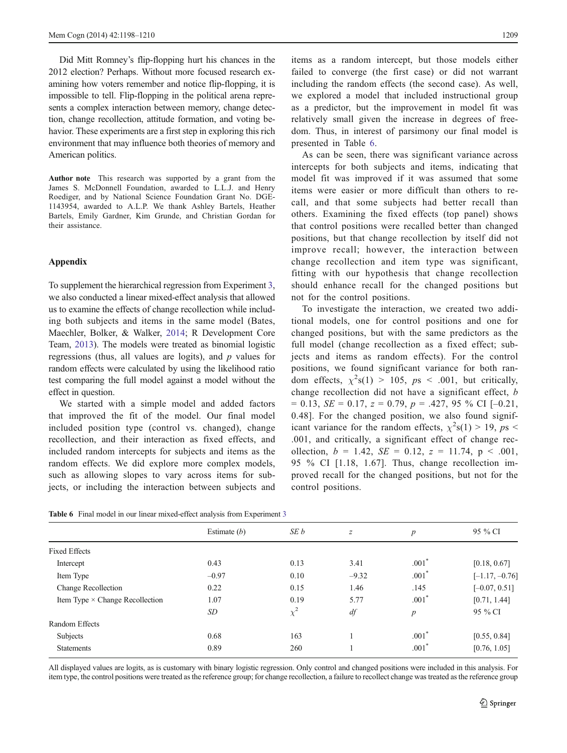<span id="page-11-0"></span>Did Mitt Romney's flip-flopping hurt his chances in the 2012 election? Perhaps. Without more focused research examining how voters remember and notice flip-flopping, it is impossible to tell. Flip-flopping in the political arena represents a complex interaction between memory, change detection, change recollection, attitude formation, and voting behavior. These experiments are a first step in exploring this rich environment that may influence both theories of memory and American politics.

Author note This research was supported by a grant from the James S. McDonnell Foundation, awarded to L.L.J. and Henry Roediger, and by National Science Foundation Grant No. DGE-1143954, awarded to A.L.P. We thank Ashley Bartels, Heather Bartels, Emily Gardner, Kim Grunde, and Christian Gordan for their assistance.

#### Appendix

To supplement the hierarchical regression from Experiment [3,](#page-7-0) we also conducted a linear mixed-effect analysis that allowed us to examine the effects of change recollection while including both subjects and items in the same model (Bates, Maechler, Bolker, & Walker, [2014;](#page-12-0) R Development Core Team, [2013](#page-12-0)). The models were treated as binomial logistic regressions (thus, all values are logits), and  $p$  values for random effects were calculated by using the likelihood ratio test comparing the full model against a model without the effect in question.

We started with a simple model and added factors that improved the fit of the model. Our final model included position type (control vs. changed), change recollection, and their interaction as fixed effects, and included random intercepts for subjects and items as the random effects. We did explore more complex models, such as allowing slopes to vary across items for subjects, or including the interaction between subjects and items as a random intercept, but those models either failed to converge (the first case) or did not warrant including the random effects (the second case). As well, we explored a model that included instructional group as a predictor, but the improvement in model fit was relatively small given the increase in degrees of freedom. Thus, in interest of parsimony our final model is presented in Table 6.

As can be seen, there was significant variance across intercepts for both subjects and items, indicating that model fit was improved if it was assumed that some items were easier or more difficult than others to recall, and that some subjects had better recall than others. Examining the fixed effects (top panel) shows that control positions were recalled better than changed positions, but that change recollection by itself did not improve recall; however, the interaction between change recollection and item type was significant, fitting with our hypothesis that change recollection should enhance recall for the changed positions but not for the control positions.

To investigate the interaction, we created two additional models, one for control positions and one for changed positions, but with the same predictors as the full model (change recollection as a fixed effect; subjects and items as random effects). For the control positions, we found significant variance for both random effects,  $\chi^2$ s(1) > 105, ps < .001, but critically, change recollection did not have a significant effect, b  $= 0.13$ ,  $SE = 0.17$ ,  $z = 0.79$ ,  $p = .427$ , 95 % CI [-0.21, 0.48]. For the changed position, we also found significant variance for the random effects,  $\chi^2$ s(1) > 19, ps < .001, and critically, a significant effect of change recollection,  $b = 1.42$ ,  $SE = 0.12$ ,  $z = 11.74$ ,  $p < .001$ , 95 % CI [1.18, 1.67]. Thus, change recollection improved recall for the changed positions, but not for the control positions.

|  |  |  |  |  |  |  |  |  | Table 6 Final model in our linear mixed-effect analysis from Experiment 3 |  |
|--|--|--|--|--|--|--|--|--|---------------------------------------------------------------------------|--|
|--|--|--|--|--|--|--|--|--|---------------------------------------------------------------------------|--|

|                                        | Estimate $(b)$ | SE b     | $\boldsymbol{z}$ | $\boldsymbol{p}$    | 95 % CI          |
|----------------------------------------|----------------|----------|------------------|---------------------|------------------|
| <b>Fixed Effects</b>                   |                |          |                  |                     |                  |
| Intercept                              | 0.43           | 0.13     | 3.41             | .001                | [0.18, 0.67]     |
| Item Type                              | $-0.97$        | 0.10     | $-9.32$          | $.001$ <sup>*</sup> | $[-1.17, -0.76]$ |
| Change Recollection                    | 0.22           | 0.15     | 1.46             | .145                | $[-0.07, 0.51]$  |
| Item Type $\times$ Change Recollection | 1.07           | 0.19     | 5.77             | $.001*$             | [0.71, 1.44]     |
|                                        | SD             | $\chi^2$ | $df$             | $\boldsymbol{p}$    | 95 % CI          |
| Random Effects                         |                |          |                  |                     |                  |
| Subjects                               | 0.68           | 163      |                  | $.001$ <sup>*</sup> | [0.55, 0.84]     |
| <b>Statements</b>                      | 0.89           | 260      |                  | $.001*$             | [0.76, 1.05]     |

All displayed values are logits, as is customary with binary logistic regression. Only control and changed positions were included in this analysis. For item type, the control positions were treated as the reference group; for change recollection, a failure to recollect change was treated as the reference group